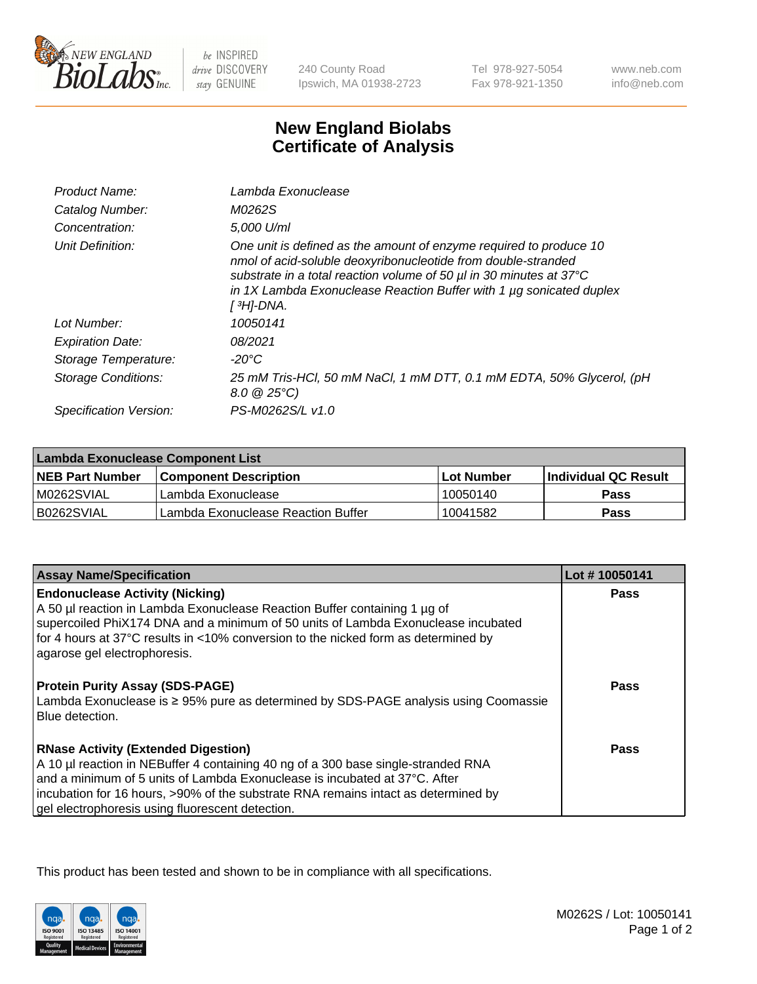

 $be$  INSPIRED drive DISCOVERY stay GENUINE

240 County Road Ipswich, MA 01938-2723

Tel 978-927-5054 Fax 978-921-1350 www.neb.com info@neb.com

## **New England Biolabs Certificate of Analysis**

| Product Name:              | Lambda Exonuclease                                                                                                                                                                                                                                                                                   |
|----------------------------|------------------------------------------------------------------------------------------------------------------------------------------------------------------------------------------------------------------------------------------------------------------------------------------------------|
| Catalog Number:            | M0262S                                                                                                                                                                                                                                                                                               |
| Concentration:             | 5,000 U/ml                                                                                                                                                                                                                                                                                           |
| Unit Definition:           | One unit is defined as the amount of enzyme required to produce 10<br>nmol of acid-soluble deoxyribonucleotide from double-stranded<br>substrate in a total reaction volume of 50 µl in 30 minutes at 37°C<br>in 1X Lambda Exonuclease Reaction Buffer with 1 $\mu$ g sonicated duplex<br>[ 3H]-DNA. |
| Lot Number:                | 10050141                                                                                                                                                                                                                                                                                             |
| <b>Expiration Date:</b>    | 08/2021                                                                                                                                                                                                                                                                                              |
| Storage Temperature:       | $-20^{\circ}$ C                                                                                                                                                                                                                                                                                      |
| <b>Storage Conditions:</b> | 25 mM Tris-HCl, 50 mM NaCl, 1 mM DTT, 0.1 mM EDTA, 50% Glycerol, (pH<br>$8.0 \ @ 25^{\circ}C$                                                                                                                                                                                                        |
| Specification Version:     | PS-M0262S/L v1.0                                                                                                                                                                                                                                                                                     |

| Lambda Exonuclease Component List |                                    |             |                             |  |
|-----------------------------------|------------------------------------|-------------|-----------------------------|--|
| <b>NEB Part Number</b>            | l Component Description            | ⊺Lot Number | <b>Individual QC Result</b> |  |
| IM0262SVIAL                       | Lambda Exonuclease                 | 10050140    | <b>Pass</b>                 |  |
| IB0262SVIAL                       | Lambda Exonuclease Reaction Buffer | 10041582    | Pass                        |  |

| <b>Assay Name/Specification</b>                                                     | Lot #10050141 |
|-------------------------------------------------------------------------------------|---------------|
| <b>Endonuclease Activity (Nicking)</b>                                              | <b>Pass</b>   |
| A 50 µl reaction in Lambda Exonuclease Reaction Buffer containing 1 µg of           |               |
| supercoiled PhiX174 DNA and a minimum of 50 units of Lambda Exonuclease incubated   |               |
| for 4 hours at 37°C results in <10% conversion to the nicked form as determined by  |               |
| agarose gel electrophoresis.                                                        |               |
| <b>Protein Purity Assay (SDS-PAGE)</b>                                              | Pass          |
| Lambda Exonuclease is ≥ 95% pure as determined by SDS-PAGE analysis using Coomassie |               |
| Blue detection.                                                                     |               |
|                                                                                     |               |
| <b>RNase Activity (Extended Digestion)</b>                                          | Pass          |
| A 10 µl reaction in NEBuffer 4 containing 40 ng of a 300 base single-stranded RNA   |               |
| and a minimum of 5 units of Lambda Exonuclease is incubated at 37°C. After          |               |
| incubation for 16 hours, >90% of the substrate RNA remains intact as determined by  |               |
| gel electrophoresis using fluorescent detection.                                    |               |

This product has been tested and shown to be in compliance with all specifications.